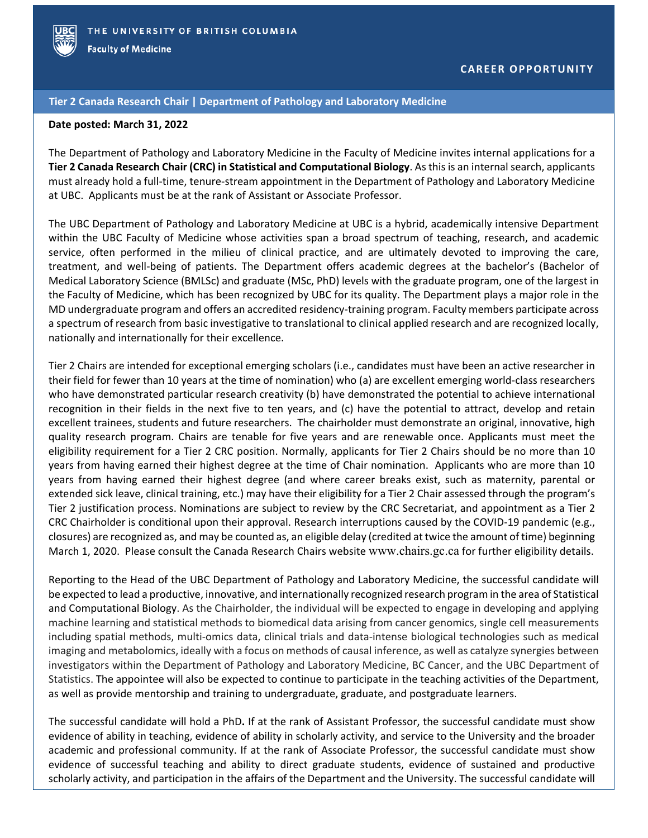

## **Tier 2 Canada Research Chair | Department of Pathology and Laboratory Medicine**

## **Date posted: March 31, 2022**

The Department of Pathology and Laboratory Medicine in the Faculty of Medicine invites internal applications for a **Tier 2 Canada Research Chair (CRC) in Statistical and Computational Biology**. As this is an internal search, applicants must already hold a full-time, tenure-stream appointment in the Department of Pathology and Laboratory Medicine at UBC. Applicants must be at the rank of Assistant or Associate Professor.

The UBC Department of Pathology and Laboratory Medicine at UBC is a hybrid, academically intensive Department within the UBC Faculty of Medicine whose activities span a broad spectrum of teaching, research, and academic service, often performed in the milieu of clinical practice, and are ultimately devoted to improving the care, treatment, and well-being of patients. The Department offers academic degrees at the bachelor's (Bachelor of Medical Laboratory Science (BMLSc) and graduate (MSc, PhD) levels with the graduate program, one of the largest in the Faculty of Medicine, which has been recognized by UBC for its quality. The Department plays a major role in the MD undergraduate program and offers an accredited residency-training program. Faculty members participate across a spectrum of research from basic investigative to translational to clinical applied research and are recognized locally, nationally and internationally for their excellence.

Tier 2 Chairs are intended for exceptional emerging scholars (i.e., candidates must have been an active researcher in their field for fewer than 10 years at the time of nomination) who (a) are excellent emerging world-class researchers who have demonstrated particular research creativity (b) have demonstrated the potential to achieve international recognition in their fields in the next five to ten years, and (c) have the potential to attract, develop and retain excellent trainees, students and future researchers. The chairholder must demonstrate an original, innovative, high quality research program. Chairs are tenable for five years and are renewable once. Applicants must meet the eligibility requirement for a Tier 2 CRC position. Normally, applicants for Tier 2 Chairs should be no more than 10 years from having earned their highest degree at the time of Chair nomination. Applicants who are more than 10 years from having earned their highest degree (and where career breaks exist, such as maternity, parental or extended sick leave, clinical training, etc.) may have their eligibility for a Tier 2 Chair assessed through the program's Tier 2 justification process. Nominations are subject to review by the CRC Secretariat, and appointment as a Tier 2 CRC Chairholder is conditional upon their approval. Research interruptions caused by the COVID-19 pandemic (e.g., closures) are recognized as, and may be counted as, an eligible delay (credited at twice the amount of time) beginning March 1, 2020. Please consult the Canada Research Chairs website [www.chairs.gc.ca](http://www.chairs.gc.ca/) for further eligibility details.

Reporting to the Head of the UBC Department of Pathology and Laboratory Medicine, the successful candidate will be expected to lead a productive, innovative, and internationally recognized research program in the area of Statistical and Computational Biology. As the Chairholder, the individual will be expected to engage in developing and applying machine learning and statistical methods to biomedical data arising from cancer genomics, single cell measurements including spatial methods, multi-omics data, clinical trials and data-intense biological technologies such as medical imaging and metabolomics, ideally with a focus on methods of causal inference, as well as catalyze synergies between investigators within the Department of Pathology and Laboratory Medicine, BC Cancer, and the UBC Department of Statistics. The appointee will also be expected to continue to participate in the teaching activities of the Department, as well as provide mentorship and training to undergraduate, graduate, and postgraduate learners.

The successful candidate will hold a PhD**.** If at the rank of Assistant Professor, the successful candidate must show evidence of ability in teaching, evidence of ability in scholarly activity, and service to the University and the broader academic and professional community. If at the rank of Associate Professor, the successful candidate must show evidence of successful teaching and ability to direct graduate students, evidence of sustained and productive scholarly activity, and participation in the affairs of the Department and the University. The successful candidate will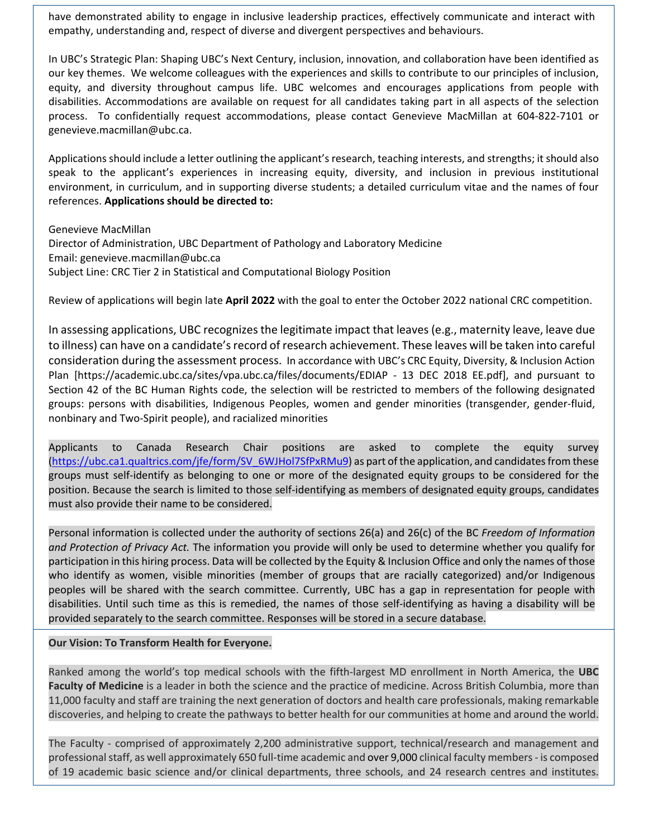have demonstrated ability to engage in inclusive leadership practices, effectively communicate and interact with empathy, understanding and, respect of diverse and divergent perspectives and behaviours.

In UBC's Strategic Plan: Shaping UBC's Next Century, inclusion, innovation, and collaboration have been identified as our key themes. We welcome colleagues with the experiences and skills to contribute to our principles of inclusion, equity, and diversity throughout campus life. UBC welcomes and encourages applications from people with disabilities. Accommodations are available on request for all candidates taking part in all aspects of the selection process. To confidentially request accommodations, please contact Genevieve MacMillan at 604-822-7101 or genevieve.macmillan@ubc.ca.

Applications should include a letter outlining the applicant's research, teaching interests, and strengths; it should also speak to the applicant's experiences in increasing equity, diversity, and inclusion in previous institutional environment, in curriculum, and in supporting diverse students; a detailed curriculum vitae and the names of four references. **Applications should be directed to:** 

Genevieve MacMillan

Director of Administration, UBC Department of Pathology and Laboratory Medicine Email: genevieve.macmillan@ubc.ca Subject Line: CRC Tier 2 in Statistical and Computational Biology Position

Review of applications will begin late **April 2022** with the goal to enter the October 2022 national CRC competition.

In assessing applications, UBC recognizes the legitimate impact that leaves (e.g., maternity leave, leave due to illness) can have on a candidate's record of research achievement. These leaves will be taken into careful consideration during the assessment process. In accordance with UBC's CRC Equity, Diversity, & Inclusion Action Plan [https://academic.ubc.ca/sites/vpa.ubc.ca/files/documents/EDIAP - 13 DEC 2018 EE.pdf], and pursuant to Section 42 of the BC Human Rights code, the selection will be restricted to members of the following designated groups: persons with disabilities, Indigenous Peoples, women and gender minorities (transgender, gender-fluid, nonbinary and Two-Spirit people), and racialized minorities

Applicants to Canada Research Chair positions are asked to complete the equity survey [\(https://ubc.ca1.qualtrics.com/jfe/form/SV\\_6WJHol7SfPxRMu9\)](https://ubc.ca1.qualtrics.com/jfe/form/SV_6WJHol7SfPxRMu9) as part of the application, and candidates from these groups must self-identify as belonging to one or more of the designated equity groups to be considered for the position. Because the search is limited to those self-identifying as members of designated equity groups, candidates must also provide their name to be considered.

Personal information is collected under the authority of sections 26(a) and 26(c) of the BC *Freedom of Information and Protection of Privacy Act.* The information you provide will only be used to determine whether you qualify for participation in this hiring process. Data will be collected by the Equity & Inclusion Office and only the names of those who identify as women, visible minorities (member of groups that are racially categorized) and/or Indigenous peoples will be shared with the search committee. Currently, UBC has a gap in representation for people with disabilities. Until such time as this is remedied, the names of those self-identifying as having a disability will be provided separately to the search committee. Responses will be stored in a secure database.

## **Our Vision: To Transform Health for Everyone.**

Ranked among the world's top medical schools with the fifth-largest MD enrollment in North America, the **UBC Faculty of Medicine** is a leader in both the science and the practice of medicine. Across British Columbia, more than 11,000 faculty and staff are training the next generation of doctors and health care professionals, making remarkable discoveries, and helping to create the pathways to better health for our communities at home and around the world.

The Faculty - comprised of approximately 2,200 administrative support, technical/research and management and professional staff, as well approximately 650 full-time academic and over 9,000 clinical faculty members - is composed of 19 academic basic science and/or clinical departments, three schools, and 24 research centres and institutes.